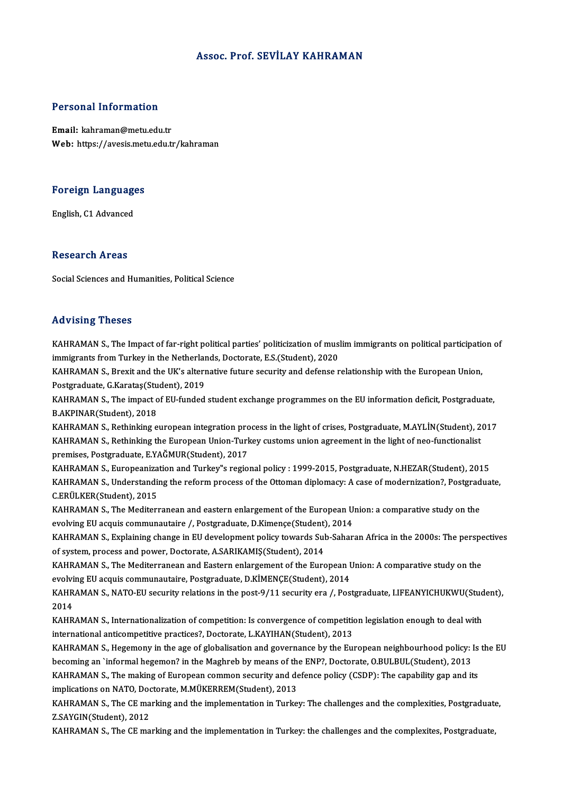### Assoc. Prof. SEVİLAY KAHRAMAN

### Personal Information

Email: kahraman@metu.edu.tr Web: https://avesis.metu.edu.tr/kahraman

# Foreign Languages <mark>Foreign Language</mark><br>English, C1 Advanced

English, C1 Advanced<br>Research Areas

Social Sciences and Humanities, Political Science

#### Advising Theses

Advising Theses<br>KAHRAMAN S., The Impact of far-right political parties' politicization of muslim immigrants on political participation of<br>immigrants from Turkey in the Netherlands Destancte ES (Student), 2020 ind viering a riceces<br>KAHRAMAN S., The Impact of far-right political parties' politicization of musl<br>immigrants from Turkey in the Netherlands, Doctorate, E.S.(Student), 2020<br>KAHRAMAN S. Provit and the UK's elternative fut immigrants from Turkey in the Netherlands, Doctorate, E.S.(Student), 2020<br>KAHRAMAN S., Brexit and the UK's alternative future security and defense relationship with the European Union,

immigrants from Turkey in the Netherlan<br>KAHRAMAN S., Brexit and the UK's altern<br>Postgraduate, G.Karataş(Student), 2019<br>KAHPAMAN S. The impact of EU funded

KAHRAMAN S., The impact of EU-funded student exchange programmes on the EU information deficit, Postgraduate,<br>B.AKPINAR(Student), 2018 Postgraduate, G.Karataş(Stu<br>KAHRAMAN S., The impact o<br>B.AKPINAR(Student), 2018<br>KAHPAMAN S., Bothinking o KAHRAMAN S., The impact of EU-funded student exchange programmes on the EU information deficit, Postgraduate,<br>B.AKPINAR(Student), 2018<br>KAHRAMAN S., Rethinking european integration process in the light of crises, Postgradua

B.AKPINAR(Student), 2018<br>KAHRAMAN S., Rethinking european integration process in the light of crises, Postgraduate, M.AYLİN(Student), 2<br>KAHRAMAN S., Rethinking the European Union-Turkey customs union agreement in the light KAHRAMAN S., Rethinking european integration pro<br>KAHRAMAN S., Rethinking the European Union-Turk<br>premises, Postgraduate, E.YAĞMUR(Student), 2017<br>KAHRAMAN S., Europeanization and Turkey''s regio KAHRAMAN S., Rethinking the European Union-Turkey customs union agreement in the light of neo-functionalist<br>premises, Postgraduate, E.YAĞMUR(Student), 2017<br>KAHRAMAN S., Europeanization and Turkey"s regional policy : 1999-2

premises, Postgraduate, E.YAĞMUR(Student), 2017<br>KAHRAMAN S., Europeanization and Turkey"s regional policy : 1999-2015, Postgraduate, N.HEZAR(Student), 2015<br>KAHRAMAN S., Understanding the reform process of the Ottoman diplo KAHRAMAN S., Europeaniza<br>KAHRAMAN S., Understandi<br>C.ERÜLKER(Student), 2015<br>KAHRAMAN S., The Mediter KAHRAMAN S., Understanding the reform process of the Ottoman diplomacy: A case of modernization?, Postgrad<br>C.ERÜLKER(Student), 2015<br>KAHRAMAN S., The Mediterranean and eastern enlargement of the European Union: a comparativ

C.ERÜLKER(Student), 2015<br>KAHRAMAN S., The Mediterranean and eastern enlargement of the European U<br>evolving EU acquis communautaire /, Postgraduate, D.Kimençe(Student), 2014<br>KAHRAMAN S. Evplaining shange in EU development p KAHRAMAN S., The Mediterranean and eastern enlargement of the European Union: a comparative study on the<br>evolving EU acquis communautaire /, Postgraduate, D.Kimençe(Student), 2014<br>KAHRAMAN S., Explaining change in EU devel

evolving EU acquis communautaire /, Postgraduate, D.Kimençe(Student), 2014<br>KAHRAMAN S., Explaining change in EU development policy towards Sub-Sahar<br>of system, process and power, Doctorate, A.SARIKAMIŞ(Student), 2014 KAHRAMAN S., Explaining change in EU development policy towards Sub-Saharan Africa in the 2000s: The perspectives<br>of system, process and power, Doctorate, A.SARIKAMIŞ(Student), 2014<br>KAHRAMAN S., The Mediterranean and Easte

KAHRAMAN S., The Mediterranean and Eastern enlargement of the European Union: A comparative study on the KAHRAMAN S., The Mediterranean and Eastern enlargement of the European Union: A comparative study on the<br>evolving EU acquis communautaire, Postgraduate, D.KİMENÇE(Student), 2014<br>KAHRAMAN S., NATO-EU security relations in t

evolvi<br>KAHR<br>2014<br><sup>KAHR</sup> KAHRAMAN S., NATO-EU security relations in the post-9/11 security era /, Postgraduate, I.IFEANYICHUKWU(Stud<br>2014<br>KAHRAMAN S., Internationalization of competition: Is convergence of competition legislation enough to deal wi

2014<br>KAHRAMAN S., Internationalization of competition: Is convergence of competition<br>international anticompetitive practices?, Doctorate, L.KAYIHAN(Student), 2013<br>KAHRAMAN S., Hogomony in the 250 of globalisation and gover KAHRAMAN S., Internationalization of competition: Is convergence of competition legislation enough to deal with<br>international anticompetitive practices?, Doctorate, L.KAYIHAN(Student), 2013<br>KAHRAMAN S., Hegemony in the age

international anticompetitive practices?, Doctorate, L.KAYIHAN(Student), 2013<br>KAHRAMAN S., Hegemony in the age of globalisation and governance by the European neighbourhood policy: Is the EU<br>becoming an `informal hegemon? KAHRAMAN S., Hegemony in the age of globalisation and governance by the European neighbourhood policy: Is<br>becoming an `informal hegemon? in the Maghreb by means of the ENP?, Doctorate, O.BULBUL(Student), 2013<br>KAHRAMAN S., becoming an `informal hegemon? in the Maghreb by means of th<br>KAHRAMAN S., The making of European common security and de<br>implications on NATO, Doctorate, M.MÜKERREM(Student), 2013<br>KAHRAMAN S. The CE marking and the implemen KAHRAMAN S., The making of European common security and defence policy (CSDP): The capability gap and its<br>implications on NATO, Doctorate, M.MÜKERREM(Student), 2013<br>KAHRAMAN S., The CE marking and the implementation in Tur

implications on NATO, Doctorate, M.MÜKERREM(Student), 2013<br>KAHRAMAN S., The CE marking and the implementation in Turkey: The challenges and the complexities, Postgraduate,<br>Z.SAYGIN(Student), 2012

KAHRAMAN S., The CE marking and the implementation in Turkey: the challenges and the complexites, Postgraduate,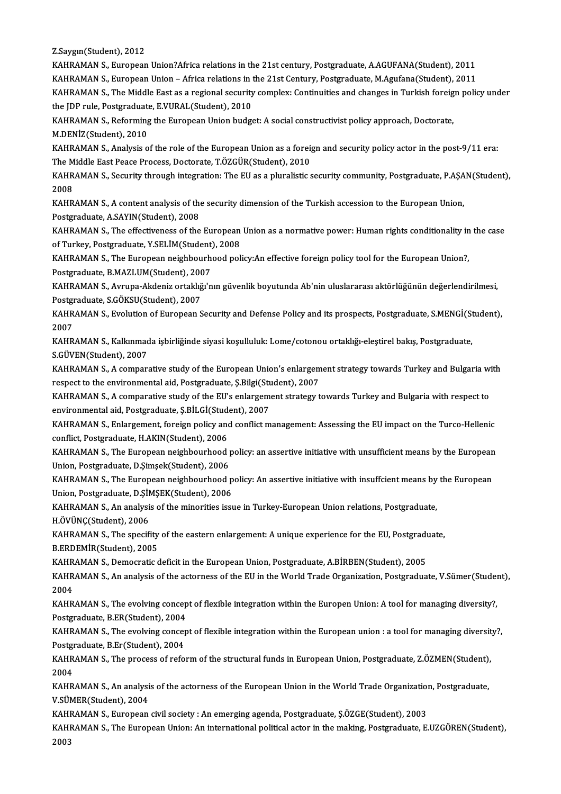Z.Saygın(Student),2012

KAHRAMAN S., European Union?Africa relations in the 21st century, Postgraduate, A.AGUFANA(Student), 2011 KAHRAMAN S., European Union – Africa relations in the 21st Century, Postgraduate, M.Agufana(Student), 2011 KAHRAMAN S., European Union?Africa relations in the 21st century, Postgraduate, A.AGUFANA(Student), 2011<br>KAHRAMAN S., European Union – Africa relations in the 21st Century, Postgraduate, M.Agufana(Student), 2011<br>KAHRAMAN S KAHRAMAN S., European Union – Africa relations in t<br>KAHRAMAN S., The Middle East as a regional security<br>the JDP rule, Postgraduate, E.VURAL(Student), 2010<br>KAHRAMAN S. Reforming the European Union budge KAHRAMAN S., The Middle East as a regional security complex: Continuities and changes in Turkish foreig<br>the JDP rule, Postgraduate, E.VURAL(Student), 2010<br>KAHRAMAN S., Reforming the European Union budget: A social construc

the JDP rule, Postgraduate, E.VURAL(Student), 2010<br>KAHRAMAN S., Reforming the European Union budget: A social constructivist policy approach, Doctorate,<br>M.DENİZ(Student), 2010 KAHRAMAN S., Reforming the European Union budget: A social constructivist policy approach, Doctorate,<br>M.DENİZ(Student), 2010<br>KAHRAMAN S., Analysis of the role of the European Union as a foreign and security policy actor in

M.DENİZ(Student), 2010<br>KAHRAMAN S., Analysis of the role of the European Union as a foreign<br>The Middle East Peace Process, Doctorate, T.ÖZGÜR(Student), 2010<br>KAHRAMAN S. Segurity through integration: The EU as a pluralistic KAHRAMAN S., Analysis of the role of the European Union as a foreign and security policy actor in the post-9/11 era:<br>The Middle East Peace Process, Doctorate, T.ÖZGÜR(Student), 2010<br>KAHRAMAN S., Security through integratio

The M<br>KAHR<br>2008<br><sup>KAHR</sup> KAHRAMAN S., Security through integration: The EU as a pluralistic security community, Postgraduate, P.AŞA<br>2008<br>KAHRAMAN S., A content analysis of the security dimension of the Turkish accession to the European Union,<br>Post

2008<br>KAHRAMAN S., A content analysis of the security dimension of the Turkish accession to the European Union,<br>Postgraduate, A.SAYIN(Student), 2008 KAHRAMAN S., A content analysis of the security dimension of the Turkish accession to the European Union,<br>Postgraduate, A.SAYIN(Student), 2008<br>KAHRAMAN S., The effectiveness of the European Union as a normative power: Huma

Postgraduate, A.SAYIN(Student), 2008<br>KAHRAMAN S., The effectiveness of the European<br>of Turkey, Postgraduate, Y.SELİM(Student), 2008<br>KAHRAMAN S., The European neighbourbood pol KAHRAMAN S., The effectiveness of the European Union as a normative power: Human rights conditionality in<br>of Turkey, Postgraduate, Y.SELİM(Student), 2008<br>KAHRAMAN S., The European neighbourhood policy:An effective foreign

of Turkey, Postgraduate, Y.SELİM(Student), 2008<br>KAHRAMAN S., The European neighbourhood policy:An effective foreign policy tool for the European Union?, Postgraduate, B.MAZLUM(Student), 2007

KAHRAMAN S., Avrupa-Akdeniz ortaklığı'nın güvenlik boyutunda Ab'nin uluslararası aktörlüğünün değerlendirilmesi,<br>Postgraduate, S.GÖKSU(Student), 2007 KAHRAMAN S., Avrupa-Akdeniz ortaklığı'nın güvenlik boyutunda Ab'nin uluslararası aktörlüğünün değerlendirilmesi,<br>Postgraduate, S.GÖKSU(Student), 2007<br>KAHRAMAN S., Evolution of European Security and Defense Policy and its p

Postgi<br>KAHR<br>2007<br><sub>KAHP</sub> KAHRAMAN S., Evolution of European Security and Defense Policy and its prospects, Postgraduate, S.MENGİ(St<br>2007<br>KAHRAMAN S., Kalkınmada işbirliğinde siyasi koşulluluk: Lome/cotonou ortaklığı-eleştirel bakış, Postgraduate,<br>

2007<br>KAHRAMAN S., Kalkınmada işbirliğinde siyasi koşulluluk: Lome/cotonou ortaklığı-eleştirel bakış, Postgraduate,<br>S.GÜVEN(Student), 2007 KAHRAMAN S., Kalkınmada işbirliğinde siyasi koşulluluk: Lome/cotonou ortaklığı-eleştirel bakış, Postgraduate,<br>S.GÜVEN(Student), 2007<br>KAHRAMAN S., A comparative study of the European Union's enlargement strategy towards Tur

S.GÜVEN(Student), 2007<br>KAHRAMAN S., A comparative study of the European Union's enlargem<br>respect to the environmental aid, Postgraduate, Ş.Bilgi(Student), 2007<br>KAHRAMAN S. A comparative study of the EU's enlargement strate KAHRAMAN S., A comparative study of the European Union's enlargement strategy towards Turkey and Bulgaria with<br>respect to the environmental aid, Postgraduate, Ş.Bilgi(Student), 2007<br>KAHRAMAN S., A comparative study of the

respect to the environmental aid, Postgraduate, Ş.Bilgi(Student), 2007<br>KAHRAMAN S., A comparative study of the EU's enlargement strategy towards Turkey and Bulgaria with respect to<br>environmental aid, Postgraduate, S.BİLGİ(

KAHRAMAN S., Enlargement, foreign policy and conflict management: Assessing the EU impact on the Turco-Hellenic environmental aid, Postgraduate, Ş.BİLGİ(Student)<br>KAHRAMAN S., Enlargement, foreign policy and<br>conflict, Postgraduate, H.AKIN(Student), 2006<br>KAHRAMAN S., The European peighbourheed KAHRAMAN S., Enlargement, foreign policy and conflict management: Assessing the EU impact on the Turco-Hellenic<br>conflict, Postgraduate, H.AKIN(Student), 2006<br>KAHRAMAN S., The European neighbourhood policy: an assertive ini

conflict, Postgraduate, H.AKIN(Student), 2006<br>KAHRAMAN S., The European neighbourhood <sub>]</sub><br>Union, Postgraduate, D.Şimşek(Student), 2006<br>KAHRAMAN S. The European neighbourhood ; KAHRAMAN S., The European neighbourhood policy: an assertive initiative with unsufficient means by the European<br>Union, Postgraduate, D.Şimşek(Student), 2006<br>KAHRAMAN S., The European neighbourhood policy: An assertive init

Union, Postgraduate, D.Şimşek(Student), 2006<br>KAHRAMAN S., The European neighbourhood p<br>Union, Postgraduate, D.ŞİMŞEK(Student), 2006<br>KAHRAMAN S. An analysis of the mineritise issu KAHRAMAN S., The European neighbourhood policy: An assertive initiative with insuffcient means by<br>Union, Postgraduate, D.ŞİMŞEK(Student), 2006<br>KAHRAMAN S., An analysis of the minorities issue in Turkey-European Union relat

Union, Postgraduate, D.ŞİMŞEK(Student), 2006<br>KAHRAMAN S., An analysis of the minorities issue in Turkey-European Union relations, Postgraduate,<br>H.ÖVÜNÇ(Student), 2006 KAHRAMAN S., An analysis of the minorities issue in Turkey-European Union relations, Postgraduate,<br>H.ÖVÜNÇ(Student), 2006<br>KAHRAMAN S., The specifity of the eastern enlargement: A unique experience for the EU, Postgraduate,

H.ÖVÜNÇ(Student), 2006<br>KAHRAMAN S., The specifity<br>B.ERDEMİR(Student), 2005<br>KAHRAMAN S., Domografis é KAHRAMAN S., The specifity of the eastern enlargement: A unique experience for the EU, Postgradu<br>B.ERDEMİR(Student), 2005<br>KAHRAMAN S., Democratic deficit in the European Union, Postgraduate, A.BİRBEN(Student), 2005<br>KAHRAMA

B.ERDEMİR(Student), 2005<br>KAHRAMAN S., Democratic deficit in the European Union, Postgraduate, A.BİRBEN(Student), 2005<br>KAHRAMAN S., An analysis of the actorness of the EU in the World Trade Organization, Postgraduate, V.Süm KAHR<br>KAHR<br>2004<br><sup>KAHR</sup> KAHRAMAN S., An analysis of the actorness of the EU in the World Trade Organization, Postgraduate, V.Sümer(Studen<br>2004<br>KAHRAMAN S., The evolving concept of flexible integration within the Europen Union: A tool for managing

2004<br>KAHRAMAN S., The evolving concep<br>Postgraduate, B.ER(Student), 2004<br>KAHRAMAN S. The evolving concep KAHRAMAN S., The evolving concept of flexible integration within the Europen Union: A tool for managing diversity?,<br>Postgraduate, B.ER(Student), 2004<br>KAHRAMAN S., The evolving concept of flexible integration within the Eur

Postgraduate, B.ER(Student), 2004<br>KAHRAMAN S., The evolving concep<br>Postgraduate, B.Er(Student), 2004<br>KAHRAMAN S. The presses of refe KAHRAMAN S., The evolving concept of flexible integration within the European union : a tool for managing diversit<br>Postgraduate, B.Er(Student), 2004<br>KAHRAMAN S., The process of reform of the structural funds in European Un

Postgraduate, B.Er(Student), 2004<br>KAHRAMAN S., The process of reform of the structural funds in European Union, Postgraduate, Z.ÖZMEN(Student),<br>2004 KAHRAMAN S., The process of reform of the structural funds in European Union, Postgraduate, Z.ÖZMEN(Student),<br>2004<br>KAHRAMAN S., An analysis of the actorness of the European Union in the World Trade Organization, Postgradua

2004<br>KAHRAMAN S., An analysi<br>V.SÜMER(Student), 2004<br>KAHRAMAN S., European KAHRAMAN S., An analysis of the actorness of the European Union in the World Trade Organization<br>V.SÜMER(Student), 2004<br>KAHRAMAN S., European civil society : An emerging agenda, Postgraduate, Ş.ÖZGE(Student), 2003<br>KAHRAMAN

KAHRAMAN S., European civil society : An emerging agenda, Postgraduate, Ş.ÖZGE(Student), 2003

V.SÜMER(Student), 2004<br>KAHRAMAN S., European civil society : An emerging agenda, Postgraduate, Ş.ÖZGE(Student), 2003<br>KAHRAMAN S., The European Union: An international political actor in the making, Postgraduate, E.UZGÖREN(